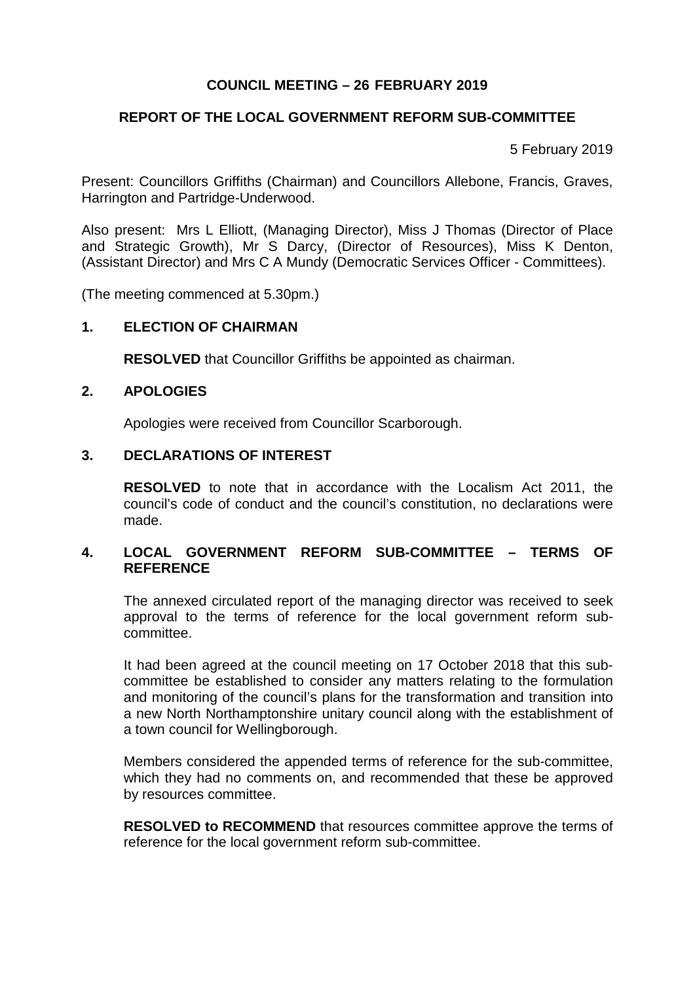# **COUNCIL MEETING – 26 FEBRUARY 2019**

# **REPORT OF THE LOCAL GOVERNMENT REFORM SUB-COMMITTEE**

5 February 2019

Present: Councillors Griffiths (Chairman) and Councillors Allebone, Francis, Graves, Harrington and Partridge-Underwood.

Also present: Mrs L Elliott, (Managing Director), Miss J Thomas (Director of Place and Strategic Growth), Mr S Darcy, (Director of Resources), Miss K Denton, (Assistant Director) and Mrs C A Mundy (Democratic Services Officer - Committees).

(The meeting commenced at 5.30pm.)

### **1. ELECTION OF CHAIRMAN**

**RESOLVED** that Councillor Griffiths be appointed as chairman.

#### **2. APOLOGIES**

Apologies were received from Councillor Scarborough.

### **3. DECLARATIONS OF INTEREST**

**RESOLVED** to note that in accordance with the Localism Act 2011, the council's code of conduct and the council's constitution, no declarations were made.

#### **4. LOCAL GOVERNMENT REFORM SUB-COMMITTEE – TERMS OF REFERENCE**

The annexed circulated report of the managing director was received to seek approval to the terms of reference for the local government reform subcommittee.

It had been agreed at the council meeting on 17 October 2018 that this subcommittee be established to consider any matters relating to the formulation and monitoring of the council's plans for the transformation and transition into a new North Northamptonshire unitary council along with the establishment of a town council for Wellingborough.

Members considered the appended terms of reference for the sub-committee, which they had no comments on, and recommended that these be approved by resources committee.

**RESOLVED to RECOMMEND** that resources committee approve the terms of reference for the local government reform sub-committee.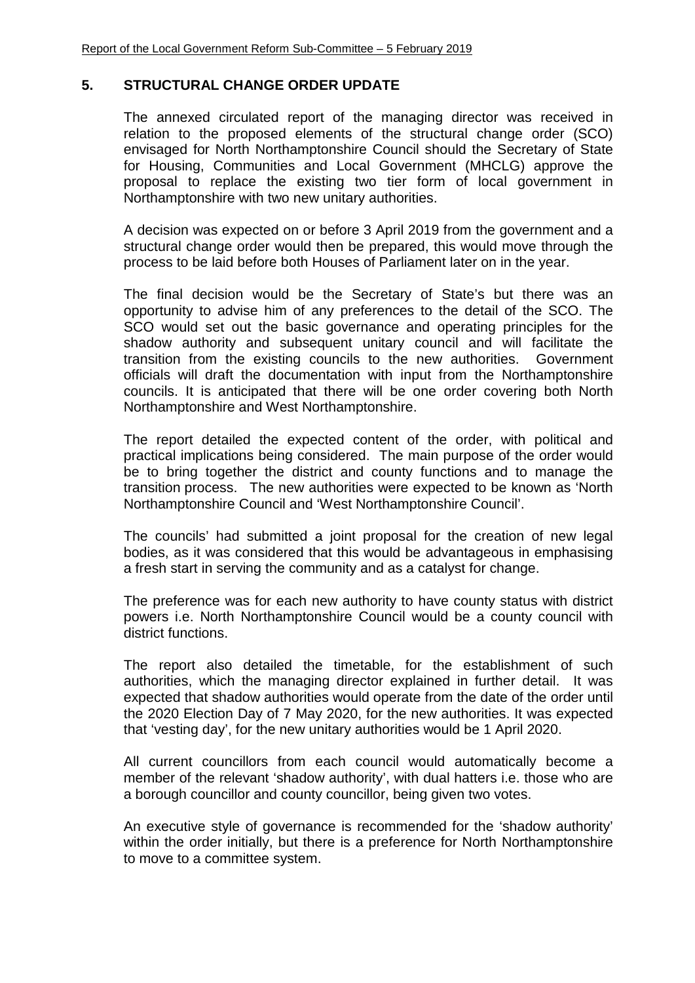### **5. STRUCTURAL CHANGE ORDER UPDATE**

The annexed circulated report of the managing director was received in relation to the proposed elements of the structural change order (SCO) envisaged for North Northamptonshire Council should the Secretary of State for Housing, Communities and Local Government (MHCLG) approve the proposal to replace the existing two tier form of local government in Northamptonshire with two new unitary authorities.

A decision was expected on or before 3 April 2019 from the government and a structural change order would then be prepared, this would move through the process to be laid before both Houses of Parliament later on in the year.

The final decision would be the Secretary of State's but there was an opportunity to advise him of any preferences to the detail of the SCO. The SCO would set out the basic governance and operating principles for the shadow authority and subsequent unitary council and will facilitate the transition from the existing councils to the new authorities. Government officials will draft the documentation with input from the Northamptonshire councils. It is anticipated that there will be one order covering both North Northamptonshire and West Northamptonshire.

The report detailed the expected content of the order, with political and practical implications being considered. The main purpose of the order would be to bring together the district and county functions and to manage the transition process. The new authorities were expected to be known as 'North Northamptonshire Council and 'West Northamptonshire Council'.

The councils' had submitted a joint proposal for the creation of new legal bodies, as it was considered that this would be advantageous in emphasising a fresh start in serving the community and as a catalyst for change.

The preference was for each new authority to have county status with district powers i.e. North Northamptonshire Council would be a county council with district functions.

The report also detailed the timetable, for the establishment of such authorities, which the managing director explained in further detail. It was expected that shadow authorities would operate from the date of the order until the 2020 Election Day of 7 May 2020, for the new authorities. It was expected that 'vesting day', for the new unitary authorities would be 1 April 2020.

All current councillors from each council would automatically become a member of the relevant 'shadow authority', with dual hatters i.e. those who are a borough councillor and county councillor, being given two votes.

An executive style of governance is recommended for the 'shadow authority' within the order initially, but there is a preference for North Northamptonshire to move to a committee system.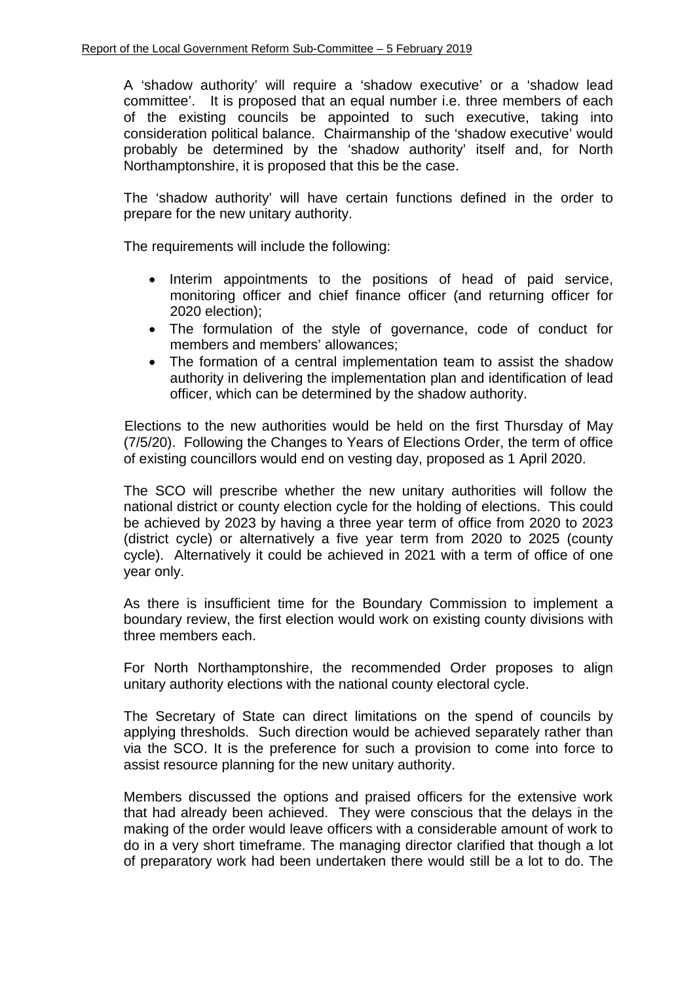A 'shadow authority' will require a 'shadow executive' or a 'shadow lead committee'. It is proposed that an equal number i.e. three members of each of the existing councils be appointed to such executive, taking into consideration political balance. Chairmanship of the 'shadow executive' would probably be determined by the 'shadow authority' itself and, for North Northamptonshire, it is proposed that this be the case.

The 'shadow authority' will have certain functions defined in the order to prepare for the new unitary authority.

The requirements will include the following:

- Interim appointments to the positions of head of paid service, monitoring officer and chief finance officer (and returning officer for 2020 election);
- The formulation of the style of governance, code of conduct for members and members' allowances;
- The formation of a central implementation team to assist the shadow authority in delivering the implementation plan and identification of lead officer, which can be determined by the shadow authority.

Elections to the new authorities would be held on the first Thursday of May (7/5/20). Following the Changes to Years of Elections Order, the term of office of existing councillors would end on vesting day, proposed as 1 April 2020.

The SCO will prescribe whether the new unitary authorities will follow the national district or county election cycle for the holding of elections. This could be achieved by 2023 by having a three year term of office from 2020 to 2023 (district cycle) or alternatively a five year term from 2020 to 2025 (county cycle). Alternatively it could be achieved in 2021 with a term of office of one year only.

As there is insufficient time for the Boundary Commission to implement a boundary review, the first election would work on existing county divisions with three members each.

For North Northamptonshire, the recommended Order proposes to align unitary authority elections with the national county electoral cycle.

The Secretary of State can direct limitations on the spend of councils by applying thresholds. Such direction would be achieved separately rather than via the SCO. It is the preference for such a provision to come into force to assist resource planning for the new unitary authority.

Members discussed the options and praised officers for the extensive work that had already been achieved. They were conscious that the delays in the making of the order would leave officers with a considerable amount of work to do in a very short timeframe. The managing director clarified that though a lot of preparatory work had been undertaken there would still be a lot to do. The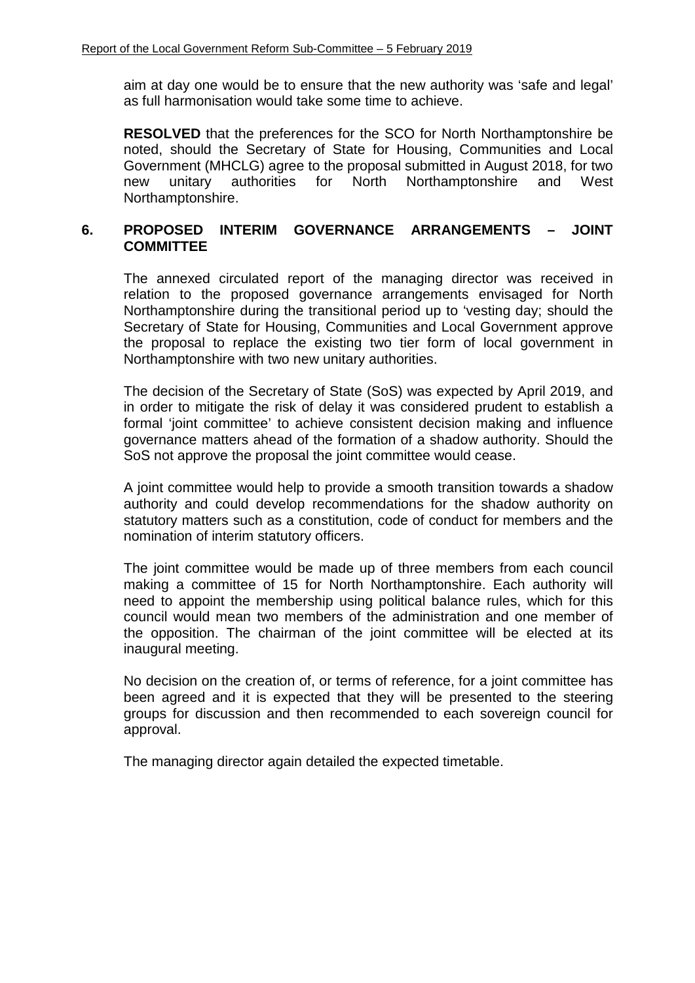aim at day one would be to ensure that the new authority was 'safe and legal' as full harmonisation would take some time to achieve.

**RESOLVED** that the preferences for the SCO for North Northamptonshire be noted, should the Secretary of State for Housing, Communities and Local Government (MHCLG) agree to the proposal submitted in August 2018, for two new unitary authorities for North Northamptonshire and West Northamptonshire.

# **6. PROPOSED INTERIM GOVERNANCE ARRANGEMENTS – JOINT COMMITTEE**

The annexed circulated report of the managing director was received in relation to the proposed governance arrangements envisaged for North Northamptonshire during the transitional period up to 'vesting day; should the Secretary of State for Housing, Communities and Local Government approve the proposal to replace the existing two tier form of local government in Northamptonshire with two new unitary authorities.

The decision of the Secretary of State (SoS) was expected by April 2019, and in order to mitigate the risk of delay it was considered prudent to establish a formal 'joint committee' to achieve consistent decision making and influence governance matters ahead of the formation of a shadow authority. Should the SoS not approve the proposal the joint committee would cease.

A joint committee would help to provide a smooth transition towards a shadow authority and could develop recommendations for the shadow authority on statutory matters such as a constitution, code of conduct for members and the nomination of interim statutory officers.

The joint committee would be made up of three members from each council making a committee of 15 for North Northamptonshire. Each authority will need to appoint the membership using political balance rules, which for this council would mean two members of the administration and one member of the opposition. The chairman of the joint committee will be elected at its inaugural meeting.

No decision on the creation of, or terms of reference, for a joint committee has been agreed and it is expected that they will be presented to the steering groups for discussion and then recommended to each sovereign council for approval.

The managing director again detailed the expected timetable.